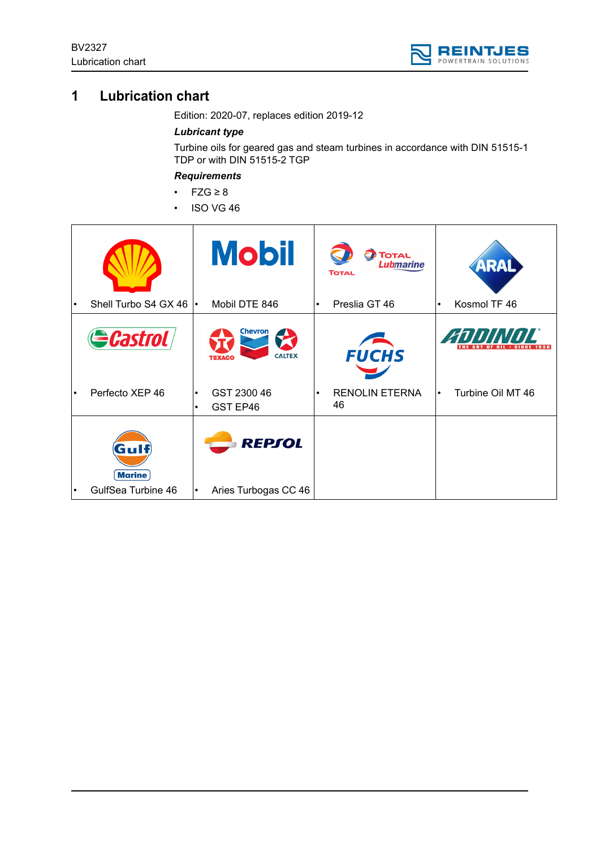

# **1 Lubrication chart**

Edition: 2020-07, replaces edition 2019-12

## *Lubricant type*

Turbine oils for geared gas and steam turbines in accordance with DIN 51515-1 TDP or with DIN 51515-2 TGP

# *Requirements*

- FZG ≥ 8
- ISO VG 46

|           | Shell Turbo S4 GX 46  |                        | <b>Mobil</b><br>Mobil DTE 846                         | $\bullet$ | <b>TOTAL</b><br><b>Lubmarine</b><br><b>TOTAL</b><br>Preslia GT 46 | $\bullet$ | ARAL<br>Kosmol TF 46 |
|-----------|-----------------------|------------------------|-------------------------------------------------------|-----------|-------------------------------------------------------------------|-----------|----------------------|
|           |                       |                        |                                                       |           |                                                                   |           |                      |
|           | <b>Castrol</b>        |                        | <b>Chevron</b><br>Z<br><b>CALTEX</b><br><b>TEXACO</b> |           | <b>FUCHS</b>                                                      |           | <b>ANNINAIL</b>      |
|           | Perfecto XEP 46       | $\bullet$<br>$\bullet$ | GST 2300 46<br>GST EP46                               | $\bullet$ | <b>RENOLIN ETERNA</b><br>46                                       | $\bullet$ | Turbine Oil MT 46    |
|           | Gulf<br><b>Marine</b> |                        | <b>REPSOL</b>                                         |           |                                                                   |           |                      |
| $\bullet$ | GulfSea Turbine 46    | $\bullet$              | Aries Turbogas CC 46                                  |           |                                                                   |           |                      |